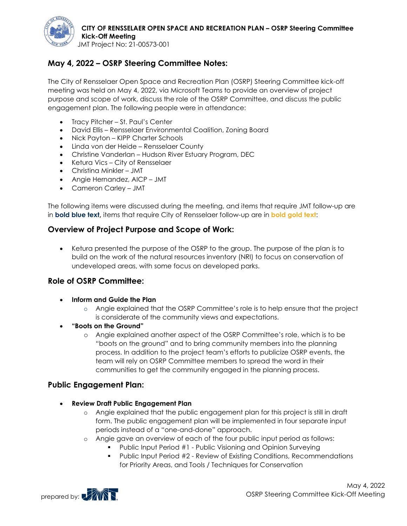

JMT Project No: 21-00573-001

# **May 4, 2022 – OSRP Steering Committee Notes:**

The City of Rensselaer Open Space and Recreation Plan (OSRP) Steering Committee kick-off meeting was held on May 4, 2022, via Microsoft Teams to provide an overview of project purpose and scope of work, discuss the role of the OSRP Committee, and discuss the public engagement plan. The following people were in attendance:

- Tracy Pitcher St. Paul's Center
- David Ellis Rensselaer Environmental Coalition, Zoning Board
- Nick Payton KIPP Charter Schools
- Linda von der Heide Rensselaer County
- Christine Vanderlan Hudson River Estuary Program, DEC
- Ketura Vics City of Rensselaer
- Christina Minkler JMT
- Angie Hernandez, AICP JMT
- Cameron Carley JMT

The following items were discussed during the meeting, and items that require JMT follow-up are in **bold blue text,** items that require City of Rensselaer follow-up are in **bold gold text**:

## **Overview of Project Purpose and Scope of Work:**

• Ketura presented the purpose of the OSRP to the group. The purpose of the plan is to build on the work of the natural resources inventory (NRI) to focus on conservation of undeveloped areas, with some focus on developed parks.

## **Role of OSRP Committee:**

- **Inform and Guide the Plan**
	- o Angie explained that the OSRP Committee's role is to help ensure that the project is considerate of the community views and expectations.
- **"Boots on the Ground"**
	- o Angie explained another aspect of the OSRP Committee's role, which is to be "boots on the ground" and to bring community members into the planning process. In addition to the project team's efforts to publicize OSRP events, the team will rely on OSRP Committee members to spread the word in their communities to get the community engaged in the planning process.

## **Public Engagement Plan:**

- **Review Draft Public Engagement Plan**
	- o Angie explained that the public engagement plan for this project is still in draft form. The public engagement plan will be implemented in four separate input periods instead of a "one-and-done" approach.
	- o Angie gave an overview of each of the four public input period as follows:
		- **•** Public Input Period #1 Public Visioning and Opinion Surveying
		- **•** Public Input Period #2 Review of Existing Conditions, Recommendations for Priority Areas, and Tools / Techniques for Conservation

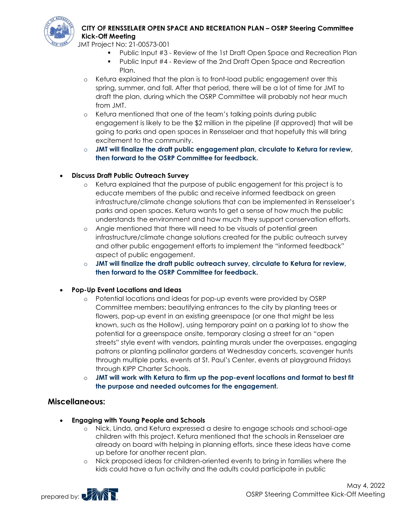

## **CITY OF RENSSELAER OPEN SPACE AND RECREATION PLAN – OSRP Steering Committee Kick-Off Meeting**

JMT Project No: 21-00573-001

- Public Input #3 Review of the 1st Draft Open Space and Recreation Plan
- Public Input #4 Review of the 2nd Draft Open Space and Recreation Plan.
- o Ketura explained that the plan is to front-load public engagement over this spring, summer, and fall. After that period, there will be a lot of time for JMT to draft the plan, during which the OSRP Committee will probably not hear much from JMT.
- o Ketura mentioned that one of the team's talking points during public engagement is likely to be the \$2 million in the pipeline (if approved) that will be going to parks and open spaces in Rensselaer and that hopefully this will bring excitement to the community.
- o **JMT will finalize the draft public engagement plan, circulate to Ketura for review, then forward to the OSRP Committee for feedback.**
- **Discuss Draft Public Outreach Survey**
	- o Ketura explained that the purpose of public engagement for this project is to educate members of the public and receive informed feedback on green infrastructure/climate change solutions that can be implemented in Rensselaer's parks and open spaces. Ketura wants to get a sense of how much the public understands the environment and how much they support conservation efforts.
	- o Angie mentioned that there will need to be visuals of potential green infrastructure/climate change solutions created for the public outreach survey and other public engagement efforts to implement the "informed feedback" aspect of public engagement.
	- o **JMT will finalize the draft public outreach survey, circulate to Ketura for review, then forward to the OSRP Committee for feedback.**

#### • **Pop-Up Event Locations and Ideas**

- o Potential locations and ideas for pop-up events were provided by OSRP Committee members: beautifying entrances to the city by planting trees or flowers, pop-up event in an existing greenspace (or one that might be less known, such as the Hollow), using temporary paint on a parking lot to show the potential for a greenspace onsite, temporary closing a street for an "open streets" style event with vendors, painting murals under the overpasses, engaging patrons or planting pollinator gardens at Wednesday concerts, scavenger hunts through multiple parks, events at St. Paul's Center, events at playground Fridays through KIPP Charter Schools.
- o **JMT will work with Ketura to firm up the pop-event locations and format to best fit the purpose and needed outcomes for the engagement.**

## **Miscellaneous:**

- **Engaging with Young People and Schools**
	- o Nick, Linda, and Ketura expressed a desire to engage schools and school-age children with this project. Ketura mentioned that the schools in Rensselaer are already on board with helping in planning efforts, since these ideas have come up before for another recent plan.
	- o Nick proposed ideas for children-oriented events to bring in families where the kids could have a fun activity and the adults could participate in public